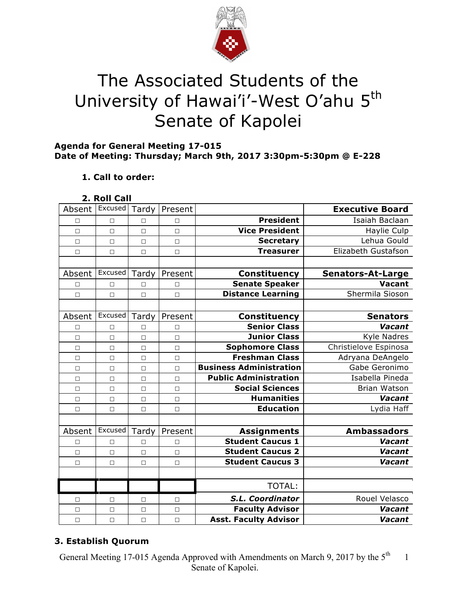

# The Associated Students of the University of Hawai'i'-West O'ahu 5<sup>th</sup> Senate of Kapolei

## **Agenda for General Meeting 17-015 Date of Meeting: Thursday; March 9th, 2017 3:30pm-5:30pm @ E-228**

# **1. Call to order:**

| 2. Roll Call |  |
|--------------|--|
|--------------|--|

| Absent | Excused | Tardy  | Present |                                | <b>Executive Board</b>   |
|--------|---------|--------|---------|--------------------------------|--------------------------|
| П      | $\Box$  | П      | $\Box$  | <b>President</b>               | Isaiah Baclaan           |
| $\Box$ | $\Box$  | $\Box$ | $\Box$  | <b>Vice President</b>          | Haylie Culp              |
| $\Box$ | $\Box$  | $\Box$ | $\Box$  | <b>Secretary</b>               | Lehua Gould              |
| $\Box$ | $\Box$  | $\Box$ | $\Box$  | <b>Treasurer</b>               | Elizabeth Gustafson      |
|        |         |        |         |                                |                          |
| Absent | Excused | Tardy  | Present | <b>Constituency</b>            | <b>Senators-At-Large</b> |
| $\Box$ | $\Box$  | □      | $\Box$  | <b>Senate Speaker</b>          | <b>Vacant</b>            |
| $\Box$ | $\Box$  | $\Box$ | $\Box$  | <b>Distance Learning</b>       | Shermila Sioson          |
|        |         |        |         |                                |                          |
| Absent | Excused | Tardy  | Present | Constituency                   | <b>Senators</b>          |
| $\Box$ | П       | $\Box$ | $\Box$  | <b>Senior Class</b>            | Vacant                   |
| $\Box$ | $\Box$  | $\Box$ | $\Box$  | <b>Junior Class</b>            | <b>Kyle Nadres</b>       |
| $\Box$ | $\Box$  | П      | $\Box$  | <b>Sophomore Class</b>         | Christielove Espinosa    |
| $\Box$ | $\Box$  | $\Box$ | $\Box$  | <b>Freshman Class</b>          | Adryana DeAngelo         |
| $\Box$ | $\Box$  | $\Box$ | $\Box$  | <b>Business Administration</b> | Gabe Geronimo            |
| П      | $\Box$  | $\Box$ | $\Box$  | <b>Public Administration</b>   | Isabella Pineda          |
| $\Box$ | $\Box$  | $\Box$ | $\Box$  | <b>Social Sciences</b>         | <b>Brian Watson</b>      |
| $\Box$ | $\Box$  | $\Box$ | $\Box$  | <b>Humanities</b>              | Vacant                   |
| $\Box$ | $\Box$  | $\Box$ | $\Box$  | <b>Education</b>               | Lydia Haff               |
|        |         |        |         |                                |                          |
| Absent | Excused | Tardy  | Present | <b>Assignments</b>             | <b>Ambassadors</b>       |
| $\Box$ | $\Box$  | П      | $\Box$  | <b>Student Caucus 1</b>        | Vacant                   |
| $\Box$ | $\Box$  | $\Box$ | $\Box$  | <b>Student Caucus 2</b>        | <b>Vacant</b>            |
| $\Box$ | $\Box$  | $\Box$ | $\Box$  | <b>Student Caucus 3</b>        | Vacant                   |
|        |         |        |         |                                |                          |
|        |         |        |         | <b>TOTAL:</b>                  |                          |
| □      | □       | □      | $\Box$  | S.L. Coordinator               | Rouel Velasco            |
| $\Box$ | $\Box$  | $\Box$ | $\Box$  | <b>Faculty Advisor</b>         | Vacant                   |
| $\Box$ | $\Box$  | $\Box$ | $\Box$  | <b>Asst. Faculty Advisor</b>   | Vacant                   |

# **3. Establish Quorum**

General Meeting 17-015 Agenda Approved with Amendments on March 9, 2017 by the 5<sup>th</sup> Senate of Kapolei. 1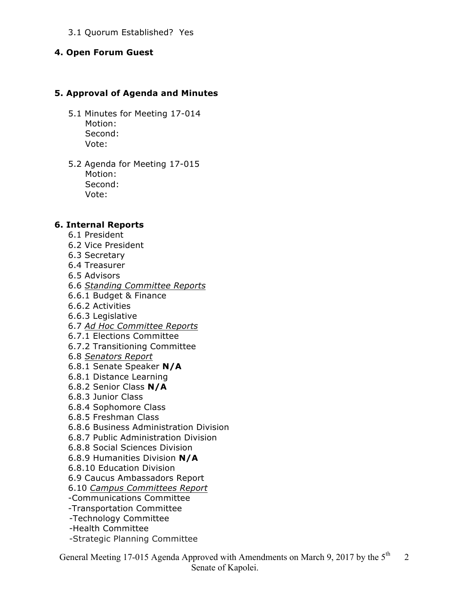#### 3.1 Quorum Established? Yes

#### **4. Open Forum Guest**

#### **5. Approval of Agenda and Minutes**

- 5.1 Minutes for Meeting 17-014 Motion: Second: Vote:
- 5.2 Agenda for Meeting 17-015 Motion: Second: Vote:

#### **6. Internal Reports**

- 6.1 President
- 6.2 Vice President
- 6.3 Secretary
- 6.4 Treasurer
- 6.5 Advisors
- 6.6 *Standing Committee Reports*
- 6.6.1 Budget & Finance
- 6.6.2 Activities
- 6.6.3 Legislative
- 6.7 *Ad Hoc Committee Reports*
- 6.7.1 Elections Committee
- 6.7.2 Transitioning Committee
- 6.8 *Senators Report*
- 6.8.1 Senate Speaker **N/A**
- 6.8.1 Distance Learning
- 6.8.2 Senior Class **N/A**
- 6.8.3 Junior Class
- 6.8.4 Sophomore Class
- 6.8.5 Freshman Class
- 6.8.6 Business Administration Division
- 6.8.7 Public Administration Division
- 6.8.8 Social Sciences Division
- 6.8.9 Humanities Division **N/A**
- 6.8.10 Education Division
- 6.9 Caucus Ambassadors Report
- 6.10 *Campus Committees Report*
- -Communications Committee
- -Transportation Committee
- -Technology Committee
- -Health Committee
- -Strategic Planning Committee